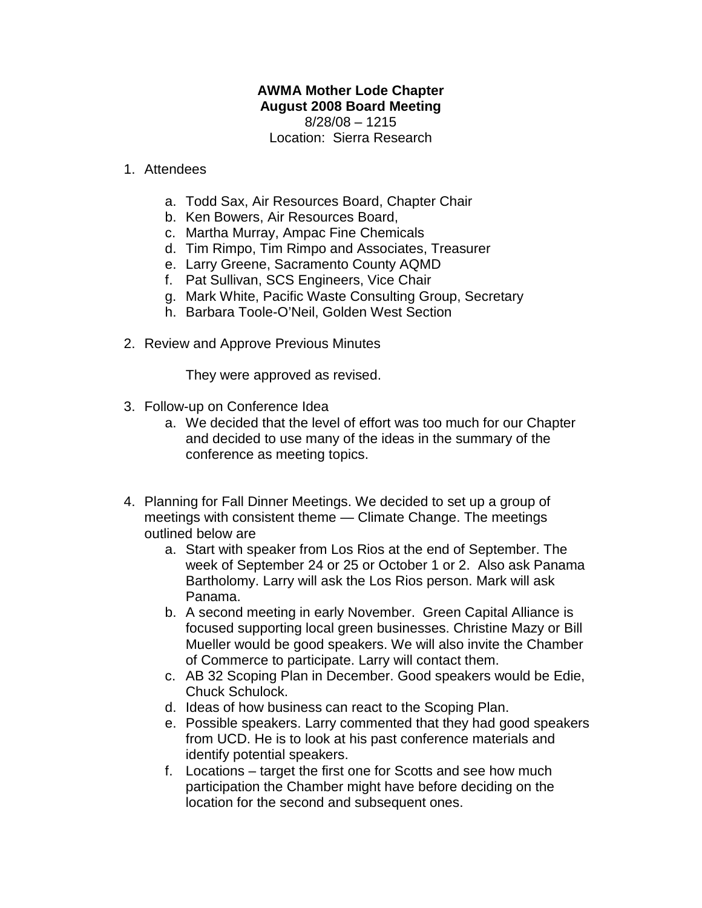## **AWMA Mother Lode Chapter August 2008 Board Meeting**

8/28/08 – 1215 Location: Sierra Research

## 1. Attendees

- a. Todd Sax, Air Resources Board, Chapter Chair
- b. Ken Bowers, Air Resources Board,
- c. Martha Murray, Ampac Fine Chemicals
- d. Tim Rimpo, Tim Rimpo and Associates, Treasurer
- e. Larry Greene, Sacramento County AQMD
- f. Pat Sullivan, SCS Engineers, Vice Chair
- g. Mark White, Pacific Waste Consulting Group, Secretary
- h. Barbara Toole-O'Neil, Golden West Section
- 2. Review and Approve Previous Minutes

They were approved as revised.

- 3. Follow-up on Conference Idea
	- a. We decided that the level of effort was too much for our Chapter and decided to use many of the ideas in the summary of the conference as meeting topics.
- 4. Planning for Fall Dinner Meetings. We decided to set up a group of meetings with consistent theme — Climate Change. The meetings outlined below are
	- a. Start with speaker from Los Rios at the end of September. The week of September 24 or 25 or October 1 or 2. Also ask Panama Bartholomy. Larry will ask the Los Rios person. Mark will ask Panama.
	- b. A second meeting in early November. Green Capital Alliance is focused supporting local green businesses. Christine Mazy or Bill Mueller would be good speakers. We will also invite the Chamber of Commerce to participate. Larry will contact them.
	- c. AB 32 Scoping Plan in December. Good speakers would be Edie, Chuck Schulock.
	- d. Ideas of how business can react to the Scoping Plan.
	- e. Possible speakers. Larry commented that they had good speakers from UCD. He is to look at his past conference materials and identify potential speakers.
	- f. Locations target the first one for Scotts and see how much participation the Chamber might have before deciding on the location for the second and subsequent ones.